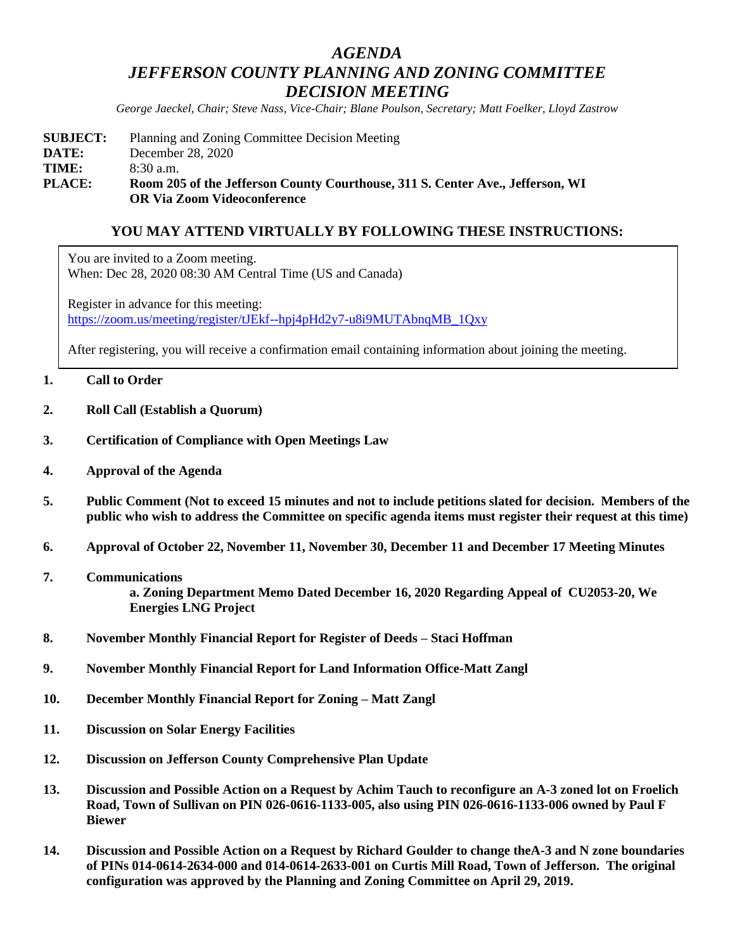# *AGENDA JEFFERSON COUNTY PLANNING AND ZONING COMMITTEE DECISION MEETING*

*George Jaeckel, Chair; Steve Nass, Vice-Chair; Blane Poulson, Secretary; Matt Foelker, Lloyd Zastrow*

## **SUBJECT:** Planning and Zoning Committee Decision Meeting **DATE:** December 28, 2020 **TIME:** 8:30 a.m. **PLACE: Room 205 of the Jefferson County Courthouse, 311 S. Center Ave., Jefferson, WI OR Via Zoom Videoconference**

## **YOU MAY ATTEND VIRTUALLY BY FOLLOWING THESE INSTRUCTIONS:**

You are invited to a Zoom meeting. When: Dec 28, 2020 08:30 AM Central Time (US and Canada)

Register in advance for this meeting: [https://zoom.us/meeting/register/tJEkf--hpj4pHd2y7-u8i9MUTAbnqMB\\_1Qxy](https://zoom.us/meeting/register/tJEkf--hpj4pHd2y7-u8i9MUTAbnqMB_1Qxy)

After registering, you will receive a confirmation email containing information about joining the meeting.

## **1. Call to Order**

- **2. Roll Call (Establish a Quorum)**
- **3. Certification of Compliance with Open Meetings Law**
- **4. Approval of the Agenda**
- **5. Public Comment (Not to exceed 15 minutes and not to include petitions slated for decision. Members of the public who wish to address the Committee on specific agenda items must register their request at this time)**
- **6. Approval of October 22, November 11, November 30, December 11 and December 17 Meeting Minutes**
- **7. Communications a. Zoning Department Memo Dated December 16, 2020 Regarding Appeal of CU2053-20, We Energies LNG Project**
- **8. November Monthly Financial Report for Register of Deeds – Staci Hoffman**
- **9. November Monthly Financial Report for Land Information Office-Matt Zangl**
- **10. December Monthly Financial Report for Zoning – Matt Zangl**
- **11. Discussion on Solar Energy Facilities**
- **12. Discussion on Jefferson County Comprehensive Plan Update**
- **13. Discussion and Possible Action on a Request by Achim Tauch to reconfigure an A-3 zoned lot on Froelich Road, Town of Sullivan on PIN 026-0616-1133-005, also using PIN 026-0616-1133-006 owned by Paul F Biewer**
- **14. Discussion and Possible Action on a Request by Richard Goulder to change theA-3 and N zone boundaries of PINs 014-0614-2634-000 and 014-0614-2633-001 on Curtis Mill Road, Town of Jefferson. The original configuration was approved by the Planning and Zoning Committee on April 29, 2019.**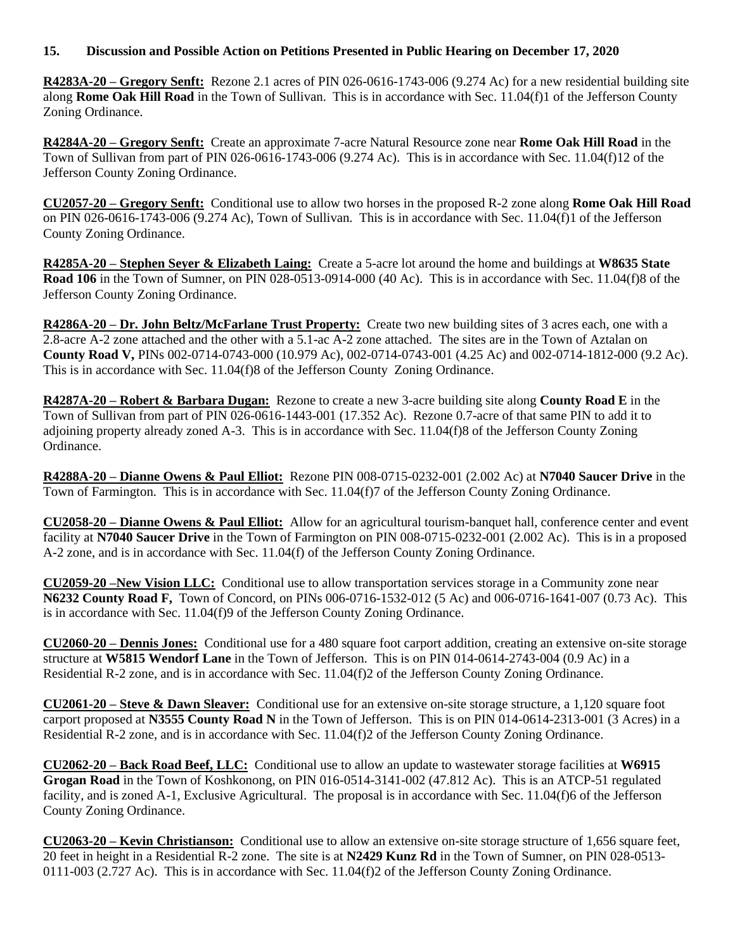## **15. Discussion and Possible Action on Petitions Presented in Public Hearing on December 17, 2020**

**R4283A-20 – Gregory Senft:** Rezone 2.1 acres of PIN 026-0616-1743-006 (9.274 Ac) for a new residential building site along **Rome Oak Hill Road** in the Town of Sullivan. This is in accordance with Sec. 11.04(f)1 of the Jefferson County Zoning Ordinance.

**R4284A-20 – Gregory Senft:** Create an approximate 7-acre Natural Resource zone near **Rome Oak Hill Road** in the Town of Sullivan from part of PIN 026-0616-1743-006 (9.274 Ac). This is in accordance with Sec. 11.04(f)12 of the Jefferson County Zoning Ordinance.

**CU2057-20 – Gregory Senft:** Conditional use to allow two horses in the proposed R-2 zone along **Rome Oak Hill Road** on PIN 026-0616-1743-006 (9.274 Ac), Town of Sullivan. This is in accordance with Sec. 11.04(f)1 of the Jefferson County Zoning Ordinance.

**R4285A-20 – Stephen Seyer & Elizabeth Laing:** Create a 5-acre lot around the home and buildings at **W8635 State Road 106** in the Town of Sumner, on PIN 028-0513-0914-000 (40 Ac). This is in accordance with Sec. 11.04(f)8 of the Jefferson County Zoning Ordinance.

**R4286A-20 – Dr. John Beltz/McFarlane Trust Property:** Create two new building sites of 3 acres each, one with a 2.8-acre A-2 zone attached and the other with a 5.1-ac A-2 zone attached. The sites are in the Town of Aztalan on **County Road V,** PINs 002-0714-0743-000 (10.979 Ac), 002-0714-0743-001 (4.25 Ac) and 002-0714-1812-000 (9.2 Ac). This is in accordance with Sec. 11.04(f)8 of the Jefferson County Zoning Ordinance.

**R4287A-20 – Robert & Barbara Dugan:** Rezone to create a new 3-acre building site along **County Road E** in the Town of Sullivan from part of PIN 026-0616-1443-001 (17.352 Ac). Rezone 0.7-acre of that same PIN to add it to adjoining property already zoned A-3. This is in accordance with Sec. 11.04(f)8 of the Jefferson County Zoning Ordinance.

**R4288A-20 – Dianne Owens & Paul Elliot:** Rezone PIN 008-0715-0232-001 (2.002 Ac) at **N7040 Saucer Drive** in the Town of Farmington. This is in accordance with Sec. 11.04(f)7 of the Jefferson County Zoning Ordinance.

**CU2058-20 – Dianne Owens & Paul Elliot:** Allow for an agricultural tourism-banquet hall, conference center and event facility at **N7040 Saucer Drive** in the Town of Farmington on PIN 008-0715-0232-001 (2.002 Ac). This is in a proposed A-2 zone, and is in accordance with Sec. 11.04(f) of the Jefferson County Zoning Ordinance.

**CU2059-20 –New Vision LLC:** Conditional use to allow transportation services storage in a Community zone near **N6232 County Road F,** Town of Concord, on PINs 006-0716-1532-012 (5 Ac) and 006-0716-1641-007 (0.73 Ac). This is in accordance with Sec. 11.04(f)9 of the Jefferson County Zoning Ordinance.

**CU2060-20 – Dennis Jones:** Conditional use for a 480 square foot carport addition, creating an extensive on-site storage structure at **W5815 Wendorf Lane** in the Town of Jefferson. This is on PIN 014-0614-2743-004 (0.9 Ac) in a Residential R-2 zone, and is in accordance with Sec. 11.04(f)2 of the Jefferson County Zoning Ordinance.

**CU2061-20 – Steve & Dawn Sleaver:** Conditional use for an extensive on-site storage structure, a 1,120 square foot carport proposed at **N3555 County Road N** in the Town of Jefferson. This is on PIN 014-0614-2313-001 (3 Acres) in a Residential R-2 zone, and is in accordance with Sec. 11.04(f)2 of the Jefferson County Zoning Ordinance.

**CU2062-20 – Back Road Beef, LLC:** Conditional use to allow an update to wastewater storage facilities at **W6915 Grogan Road** in the Town of Koshkonong, on PIN 016-0514-3141-002 (47.812 Ac). This is an ATCP-51 regulated facility, and is zoned A-1, Exclusive Agricultural. The proposal is in accordance with Sec. 11.04(f)6 of the Jefferson County Zoning Ordinance.

**CU2063-20 – Kevin Christianson:** Conditional use to allow an extensive on-site storage structure of 1,656 square feet, 20 feet in height in a Residential R-2 zone. The site is at **N2429 Kunz Rd** in the Town of Sumner, on PIN 028-0513- 0111-003 (2.727 Ac). This is in accordance with Sec. 11.04(f)2 of the Jefferson County Zoning Ordinance.